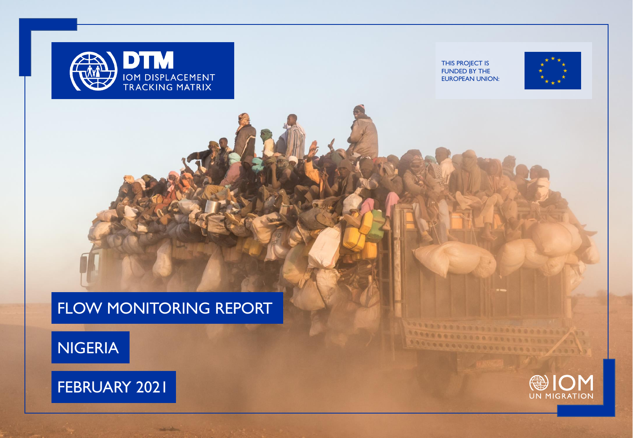

NIGERIA



**Charles** 

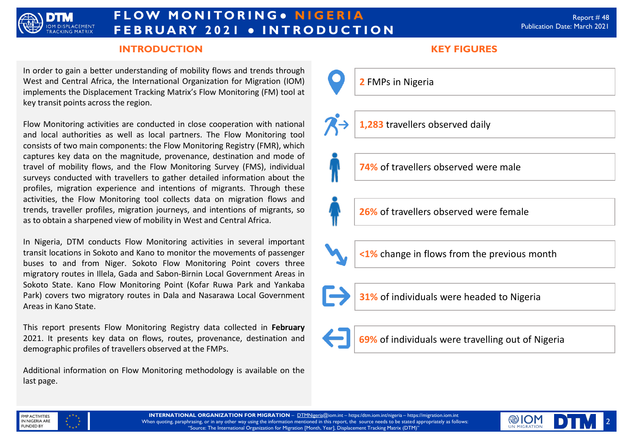

## **F L O W M O N I TO R I N G ● N I G E R I A F E B R U A RY 2 0 2 1 ● I N T R O D U C T I O N**

## **INTRODUCTION KEY FIGURES**

In order to gain a better understanding of mobility flows and trends through West and Central Africa, the International Organization for Migration (IOM) implements the Displacement Tracking Matrix's Flow Monitoring (FM) tool at key transit points across the region.

Flow Monitoring activities are conducted in close cooperation with national and local authorities as well as local partners. The Flow Monitoring tool consists of two main components: the Flow Monitoring Registry (FMR), which captures key data on the magnitude, provenance, destination and mode of travel of mobility flows, and the Flow Monitoring Survey (FMS), individual surveys conducted with travellers to gather detailed information about the profiles, migration experience and intentions of migrants. Through these activities, the Flow Monitoring tool collects data on migration flows and trends, traveller profiles, migration journeys, and intentions of migrants, so as to obtain a sharpened view of mobility in West and Central Africa.

In Nigeria, DTM conducts Flow Monitoring activities in several important transit locations in Sokoto and Kano to monitor the movements of passenger buses to and from Niger. Sokoto Flow Monitoring Point covers three migratory routes in Illela, Gada and Sabon-Birnin Local Government Areas in Sokoto State. Kano Flow Monitoring Point (Kofar Ruwa Park and Yankaba Park) covers two migratory routes in Dala and Nasarawa Local Government Areas in Kano State.

This report presents Flow Monitoring Registry data collected in **February** 2021. It presents key data on flows, routes, provenance, destination and demographic profiles of travellers observed at the FMPs.

Additional information on Flow Monitoring methodology is available on the last page.



**1,283** travellers observed daily

**74%** of travellers observed were male

**26%** of travellers observed were female

**<1%** change in flows from the previous month



**31%** of individuals were headed to Nigeria

**69%** of individuals were travelling out of Nigeria



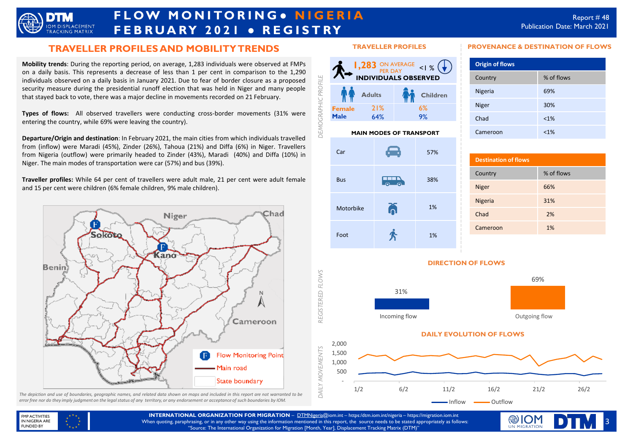

# **F L O W M O N I TO R I N G ● N I G E R I A F E B R U A RY 2 0 2 1 ● R E G I S T RY**

### **TRAVELLER PROFILES AND MOBILITY TRENDS**

**Mobility trends**: During the reporting period, on average, 1,283 individuals were observed at FMPs on a daily basis. This represents a decrease of less than 1 per cent in comparison to the 1,290 individuals observed on a daily basis in January 2021. Due to fear of border closure as a proposed security measure during the presidential runoff election that was held in Niger and many people that stayed back to vote, there was a major decline in movements recorded on 21 February.

**Types of flows:** All observed travellers were conducting cross-border movements (31% were entering the country, while 69% were leaving the country).

**Departure/Origin and destination**: In February 2021, the main cities from which individuals travelled from (inflow) were Maradi (45%), Zinder (26%), Tahoua (21%) and Diffa (6%) in Niger. Travellers from Nigeria (outflow) were primarily headed to Zinder (43%), Maradi (40%) and Diffa (10%) in Niger. The main modes of transportation were car (57%) and bus (39%).

**Traveller profiles:** While 64 per cent of travellers were adult male, 21 per cent were adult female and 15 per cent were children (6% female children, 9% male children).



The depiction and use of boundaries, geographic names, and related data shown on maps and included in this report are not warranted to be error free nor do they imply judgment on the legal status of any territory, or any endorsement or acceptance of such boundaries by IOM.

#### **TRAVELLER PROFILES**



#### **MAIN MODES OF TRANSPORT**



## **Destination of flows** Country % of flows Niger 66% Nigeria 31% Chad 2% Cameroon 1%

**PROVENANCE & DESTINATION OF FLOWS**

Country % of flows

Nigeria 69% Niger 30% Chad <1% Cameroon <1%

**Origin of flows**

### **DIRECTION OF FLOWS**



#### **DAILY EVOLUTION OF FLOWS**





**INTERNATIONAL ORGANIZATION FOR MIGRATION** – DTMNigeria@iom.int – https:/dtm.iom.int/nigeria – https://migration.iom.int When quoting, paraphrasing, or in any other way using the information mentioned in this report, the source needs to be stated appropriately as follows: "Source: The International Organization for Migration [Month, Year], Displacement Tracking Matrix (DTM)"

*REGISTERED FLOWS*

REGISTERED FLOWS

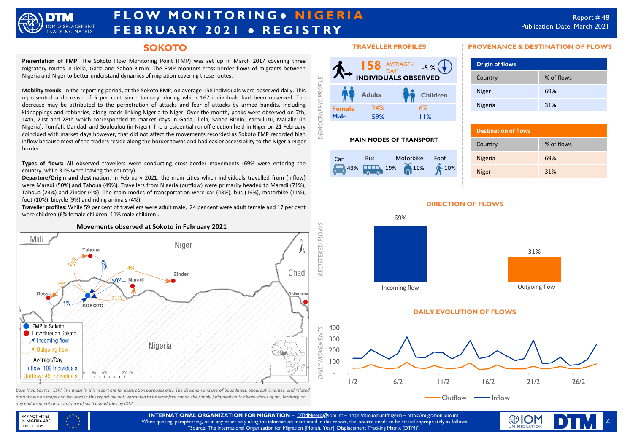

# **F L O W M O N I TO R I N G ● N I G E R I A F E B R U A RY 2 0 2 1 ● R E G I S T RY**

## **SOKOTO**

**Presentation of FMP**: The Sokoto Flow Monitoring Point (FMP) was set up in March 2017 covering three migratory routes in Ilella, Gada and Sabon-Birnin. The FMP monitors cross-border flows of migrants between Nigeria and Niger to better understand dynamics of migration covering these routes.

**Mobility trends**: In the reporting period, at the Sokoto FMP, on average 158 individuals were observed daily. This represented a decrease of 5 per cent since January, during which 167 individuals had been observed. The decrease may be attributed to the perpetration of attacks and fear of attacks by armed bandits, including kidnappings and robberies, along roads linking Nigeria to Niger. Over the month, peaks were observed on 7th, 14th, 21st and 28th which corresponded to market days in Gada, Illela, Sabon-Birnin, Yarbulutu, Mailalle (in Nigeria), Tumfafi, Dandadi and Souloulou (in Niger). The presidential runoff election held in Niger on 21 February coincided with market days however, that did not affect the movements recorded as Sokoto FMP recorded high inflow because most of the traders reside along the border towns and had easier accessibility to the Nigeria-Niger border.

**Types of flows:** All observed travellers were conducting cross-border movements (69% were entering the country, while 31% were leaving the country).

**Departure/Origin and destination**: In February 2021, the main cities which individuals travelled from (inflow) were Maradi (50%) and Tahoua (49%). Travellers from Nigeria (outflow) were primarily headed to Maradi (71%), Tahoua (23%) and Zinder (4%). The main modes of transportation were car (43%), bus (19%), motorbike (11%), foot (10%), bicycle (9%) and riding animals (4%).

**Traveller profiles:** While 59 per cent of travellers were adult male, 24 per cent were adult female and 17 per cent were children (6% female children, 11% male children).



*data shown on maps and included in this report are not warranted to be error free nor do they imply judgment on the legal status of any territory, or any endorsement or acceptance of such boundaries by IOM.*

#### **TRAVELLER PROFILES**



#### **MAIN MODES OF TRANSPORT**



### **PROVENANCE & DESTINATION OF FLOWS**

| <b>Origin of flows</b> |            |
|------------------------|------------|
| Country                | % of flows |
| <b>Niger</b>           | 69%        |
| Nigeria                | 31%        |

| <b>Destination of flows</b> |            |
|-----------------------------|------------|
| Country                     | % of flows |
| <b>Nigeria</b>              | 69%        |
| <b>Niger</b>                | 31%        |



**DIRECTION OF FLOWS**

#### **DAILY EVOLUTION OF FLOWS**



FMP ACTIVITIES IN NIGERIA ARE FUNDED BY

**INTERNATIONAL ORGANIZATION FOR MIGRATION** – DTMNigeria@iom.int – https:/dtm.iom.int/nigeria – https://migration.iom.int When quoting, paraphrasing, or in any other way using the information mentioned in this report, the source needs to be stated appropriately as follows: "Source: The International Organization for Migration [Month, Year], Displacement Tracking Matrix (DTM)"

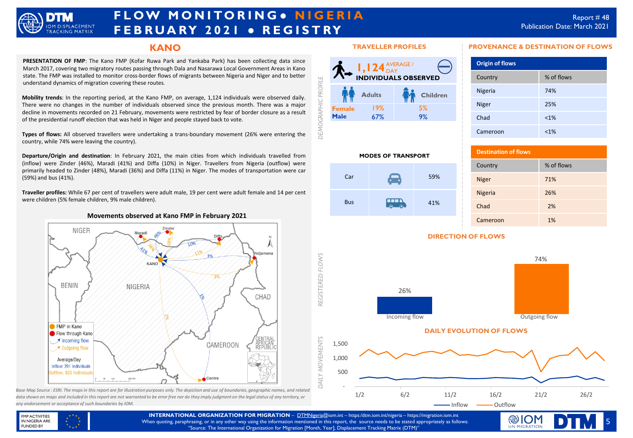

# **F L O W M O N I TO R I N G ● N I G E R I A F E B R U A RY 2 0 2 1 ● R E G I S T RY**

### **KANO**

**PRESENTATION OF FMP**: The Kano FMP (Kofar Ruwa Park and Yankaba Park) has been collecting data since March 2017, covering two migratory routes passing through Dala and Nasarawa Local Government Areas in Kano state. The FMP was installed to monitor cross-border flows of migrants between Nigeria and Niger and to better understand dynamics of migration covering these routes.

**Mobility trends**: In the reporting period, at the Kano FMP, on average, 1,124 individuals were observed daily. There were no changes in the number of individuals observed since the previous month. There was a major decline in movements recorded on 21 February, movements were restricted by fear of border closure as a result of the presidential runoff election that was held in Niger and people stayed back to vote.

**Types of flows:** All observed travellers were undertaking a trans-boundary movement (26% were entering the country, while 74% were leaving the country).

**Departure/Origin and destination**: In February 2021, the main cities from which individuals travelled from (inflow) were Zinder (46%), Maradi (41%) and Diffa (10%) in Niger. Travellers from Nigeria (outflow) were primarily headed to Zinder (48%), Maradi (36%) and Diffa (11%) in Niger. The modes of transportation were car (59%) and bus (41%).

**Traveller profiles:** While 67 per cent of travellers were adult male, 19 per cent were adult female and 14 per cent were children (5% female children, 9% male children).



Base Map Source: ESRI. The maps in this report are for illustration purposes only. The depiction and use of boundaries, geographic names, and related *data shown on maps and included in this report are not warranted to be error free nor do they imply judgment on the legal status of any territory, or any endorsement or acceptance of such boundaries by IOM.*

#### **TRAVELLER PROFILES**



 $Car$  59%

<u>um</u>

**MODES OF TRANSPORT**

Bus

*REGISTERED FLOWS*

REGISTERED FLOWS

*DAILY MOVEMENTS*

AILY MOVEMENTS

#### **PROVENANCE & DESTINATION OF FLOWS**

| <b>Origin of flows</b> |            |
|------------------------|------------|
| Country                | % of flows |
| Nigeria                | 74%        |
| <b>Niger</b>           | 25%        |
| Chad                   | $< 1\%$    |
| Cameroon               | $< 1\%$    |

| <b>Destination of flows</b> |            |
|-----------------------------|------------|
| Country                     | % of flows |
| <b>Niger</b>                | 71%        |
| Nigeria                     | 26%        |
| Chad                        | 2%         |
| Cameroon                    | 1%         |

### **DIRECTION OF FLOWS**

41%



1/2 6/2 11/2 16/2 21/2 26/2 Inflow — Outflow

#### FMP ACTIVITIES IN NIGERIA ARE FUNDED BY

Base Map Source : ESRI. The maps in this report are for illustration purposes only. The depiction and use of boundaries, geographic names, and related and the control of the source of the source in ESRI. The maps in this r **INTERNATIONAL ORGANIZATION FOR MIGRATION** – DTMNigeria@iom.int – https:/dtm.iom.int/nigeria – https://migration.iom.int When quoting, paraphrasing, or in any other way using the information mentioned in this report, the source needs to be stated appropriately as follows: "Source: The International Organization for Migration [Month, Year], Displacement Tracking Matrix (DTM)"



## **Movements observed at Kano FMP in February 2021**